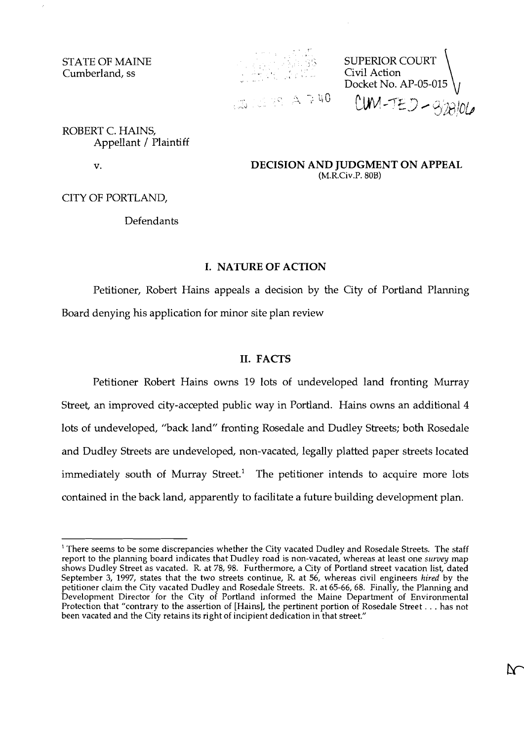STATE OF MAINE Cumberland, ss



SUPERIOR COURT<br>Civil Action **Docket No. AP-05-015**<br>(3) Civil Action **Action Action Action** (1**)** 

 $CUM-TED - 928106$ 

 $\Lambda$ 

ROBERT C. HAINS, Appellant / Plaintiff

 $\mathbf{v}$ .

**DECISION AND JUDGMENT ON APPEAL**  (M.R.Civ.P. 808)

CITY OF PORTLAND,

Defendants

#### **I. NATURE OF ACTION**

Petitioner, Robert Hains appeals a decision by the City of Portland Planning Board denying his application for minor site plan review

## **11. FACTS**

Petitioner Robert Hains owns 19 lots of undeveloped land fronting Murray Street, an improved city-accepted public way in Portland. Hains owns an additional 4 lots of undeveloped, "back land" fronting Rosedale and Dudley Streets; both Rosedale and Dudley Streets are undeveloped, non-vacated, legally platted paper streets located immediately south of Murray Street.<sup>1</sup> The petitioner intends to acquire more lots contained in the back land, apparently to facilitate a future building development plan.

<sup>&</sup>lt;sup>1</sup> There seems to be some discrepancies whether the City vacated Dudley and Rosedale Streets. The staff report to the planning board indicates that Dudley road is non-vacated, whereas at least one **survey** map shows Dudley Street as vacated. R. at 78, 98. Furthermore, a City of Portland street vacation list, dated September **3,** 1997, states that the two streets continue, R. at 56, whereas civil engineers **hired** by the petitioner claim the City vacated Dudley and Rosedale Streets. R. at 65-66,68. Finally, the Planning and Development Director for the City of Portland informed the Maine Department of Environmental Protection that "contrary to the assertion of [Hains], the pertinent portion of Rosedale Street . . . has not been vacated and the City retains its right of incipient dedication in that street."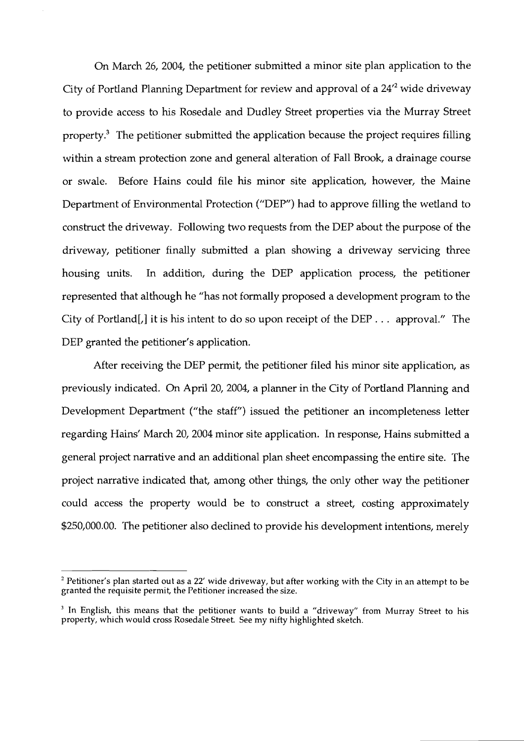On March 26, 2004, the petitioner submitted a minor site plan application to the City of Portland Planning Department for review and approval of a  $24^2$  wide driveway to provide access to his Rosedale and Dudley Street properties via the Murray Street property. $3$  The petitioner submitted the application because the project requires filling within a stream protection zone and general alteration of Fall Brook, a drainage course or swale. Before Hains could file his minor site application, however, the Maine Department of Environmental Protection ("DEP") had to approve filling the wetland to construct the driveway. Following two requests from the DEP about the purpose of the driveway, petitioner finally submitted a plan showing a driveway servicing three housing units. In addition, during the DEP application process, the petitioner represented that although he "has not formally proposed a development program to the City of Portland [,] it is his intent to do so upon receipt of the DEP  $\ldots$  approval." The DEP granted the petitioner's application.

After receiving the DEP permit, the petitioner filed his minor site application, as previously indicated. On April 20,2004, a planner in the City of Portland Planning and Development Department ("the staff") issued the petitioner an incompleteness letter regarding Hains' March 20, 2004 minor site application. In response, Hains submitted a general project narrative and an additional plan sheet encompassing the entire site. The project narrative indicated that, among other things, the only other way the petitioner could access the property would be to construct a street, costing approximately \$250,000.00. The petitioner also declined to provide his development intentions, merely

<sup>&</sup>lt;sup>2</sup> Petitioner's plan started out as a 22' wide driveway, but after working with the City in an attempt to be granted the requisite permit, the Petitioner increased the size.

<sup>&</sup>lt;sup>3</sup> In English, this means that the petitioner wants to build a "driveway" from Murray Street to his property, which would cross Rosedale Street. See my nifty highlighted sketch.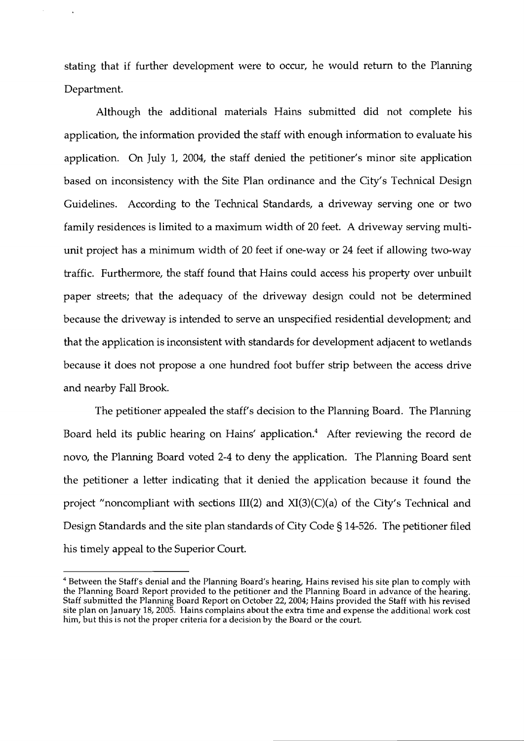stating that if further development were to occur, he would return to the Planning Department.

Although the additional materials Hains submitted did not complete his application, the information provided the staff with enough information to evaluate his application. On July 1, 2004, the staff denied the petitioner's minor site application based on inconsistency with the Site Plan ordinance and the City's Technical Design Guidelines. According to the Technical Standards, a driveway serving one or two family residences is limited to a maximum width of 20 feet. A driveway serving multiunit project has a minimum width of 20 feet if one-way or 24 feet if allowing two-way traffic. Furthermore, the staff found that Hains could access his property over unbuilt paper streets; that the adequacy of the driveway design could not be determined because the driveway is intended to serve an unspecified residential development; and that the application is inconsistent with standards for development adjacent to wetlands because it does not propose a one hundred foot buffer strip between the access drive and nearby Fall Brook.

The petitioner appealed the staff's decision to the Planning Board. The Planning Board held its public hearing on Hains' application.<sup>4</sup> After reviewing the record de novo, the Planning Board voted 2-4 to deny the application. The Planning Board sent the petitioner a letter indicating that it denied the application because it found the project "noncompliant with sections III(2) and XI(3)(C)(a) of the City's Technical and Design Standards and the site plan standards of City Code § 14-526. The petitioner filed his timely appeal to the Superior Court.

<sup>&</sup>lt;sup>4</sup> Between the Staff's denial and the Planning Board's hearing, Hains revised his site plan to comply with the Planning Board Report provided to the petitioner and the Planning Board in advance of the hearing. Staff submitted the Planning Board Report on October 22,2004; Hains provided the Staff with his revised site plan on January 18,2005. Hains complains about the extra time and expense the additional work cost him, but this is not the proper criteria for a decision by the Board or the court.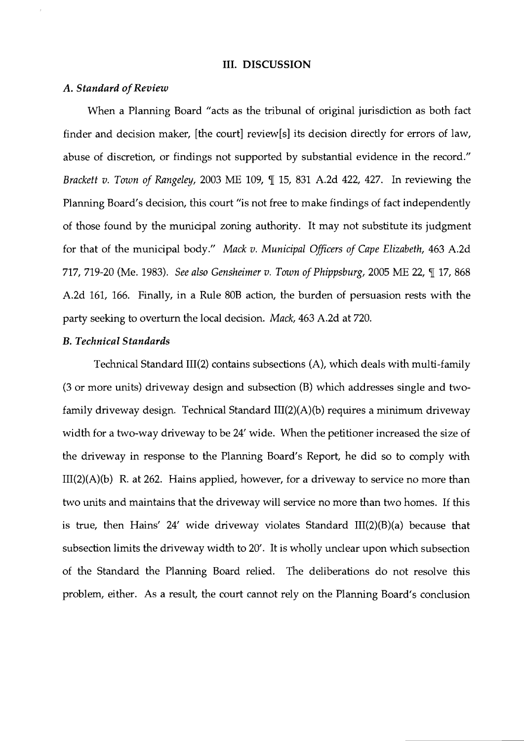## **111. DISCUSSION**

#### *A. Standard of Review*

When a Planning Board "acts as the tribunal of original jurisdiction as both fact finder and decision maker, [the court] review[s] its decision directly for errors of law, abuse of discretion, or findings not supported by substantial evidence in the record." Brackett v. Town of Rangeley, 2003 ME 109, ¶ 15, 831 A.2d 422, 427. In reviewing the Planning Board's decision, this court "is not free to make findings of fact independently of those found by the municipal zoning authority. It may not substitute its judgment for that of the municipal body." Mack v. Municipal Officers of Cape Elizabeth, 463 A.2d 717, 719-20 (Me. 1983). See also Gensheimer v. Town of Phippsburg, 2005 ME 22,  $\P$  17, 868 A.2d 161, 166. Finally, in a Rule 808 action, the burden of persuasion rests with the party seeking to overturn the local decision. Mack, 463 A.2d at 720.

# B. *Technical Standards*

Technical Standard III(2) contains subsections (A), which deals with multi-family (3 or more units) driveway design and subsection (B) which addresses single and twofamily driveway design. Technical Standard III(2)(A)(b) requires a minimum driveway width for a two-way driveway to be 24' wide. When the petitioner increased the size of the driveway in response to the Planning Board's Report, he did so to comply with  $III(2)(A)(b)$  R. at 262. Hains applied, however, for a driveway to service no more than two units and maintains that the driveway will service no more than two homes. If this is true, then Hains' 24' wide driveway violates Standard  $III(2)(B)(a)$  because that subsection limits the driveway width to 20'. It is wholly unclear upon which subsection of the Standard the Planning Board relied. The deliberations do not resolve this problem, either. As a result, the court cannot rely on the Planning Board's conclusion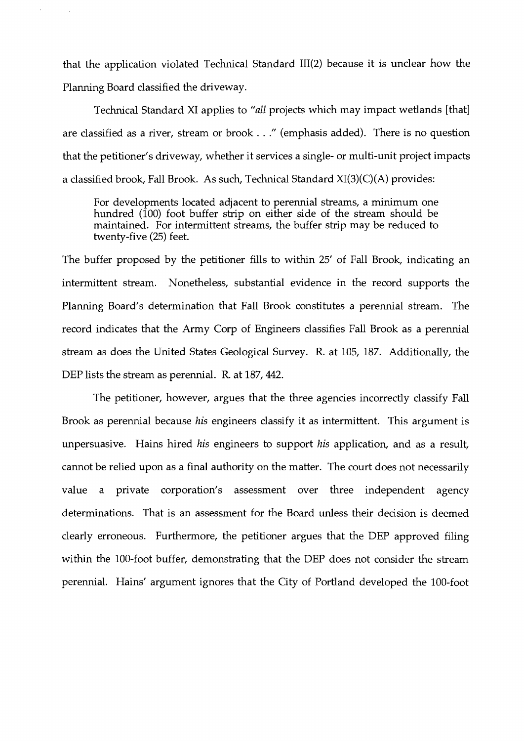that the application violated Technical Standard III(2) because it is unclear how the Planning Board classified the driveway.

Technical Standard XI applies to "all projects which may impact wetlands [that] are classified as a river, stream or brook . . ." (emphasis added). There is no question that the petitioner's driveway, whether it services a single- or multi-unit project impacts a classified brook, Fall Brook. As such, Technical Standard XI(3)(C)(A) provides:

For developments located adjacent to perennial streams, a minimum one hundred (100) foot buffer strip on either side of the stream should be maintained. For intermittent streams, the buffer strip may be reduced to twenty-five (25) feet.

The buffer proposed by the petitioner fills to within 25' of Fall Brook, indicating an intermittent stream. Nonetheless, substantial evidence in the record supports the Planning Board's determination that Fall Brook constitutes a perennial stream. The record indicates that the Army Corp of Engineers classifies Fall Brook as a perennial stream as does the United States Geological Survey. R. at 105, 187. Additionally, the DEP lists the stream as perennial. R. at 187, 442.

The petitioner, however, argues that the three agencies incorrectly classify Fall Brook as perennial because *his* engineers classify it as intermittent. This argument is unpersuasive. Hains hired *his* engineers to support *his* application, and as a result, cannot be relied upon as a final authority on the matter. The court does not necessarily value a private corporation's assessment over three independent agency determinations. That is an assessment for the Board unless their decision is deemed clearly erroneous. Furthermore, the petitioner argues that the DEP approved filing within the 100-foot buffer, demonstrating that the DEP does not consider the stream perennial. Hains' argument ignores that the City of Portland developed the 100-foot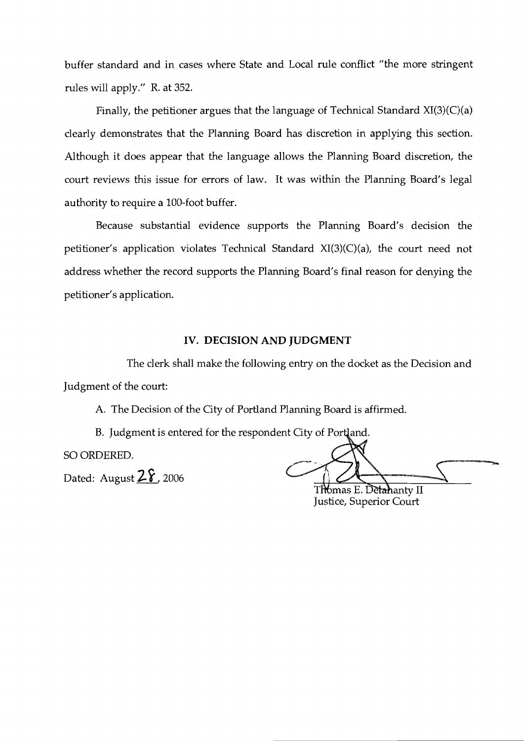buffer standard and in cases where State and Local rule conflict "the more stringent rules will apply." R. at 352.

Finally, the petitioner argues that the language of Technical Standard  $XI(3)(C)(a)$ clearly demonstrates that the Planning Board has discretion in applying this section. Although it does appear that the language allows the Planning Board discretion, the court reviews this issue for errors of law. It was within the Planning Board's legal authority to require a 100-foot buffer.

Because substantial evidence supports the Planning Board's decision the petitioner's application violates Technical Standard XI(3)(C)(a), the court need not address whether the record supports the Planning Board's final reason for denying the petitioner's application.

## **IV. DECISION AND JUDGMENT**

The clerk shall make the following entry on the docket as the Decision and Judgment of the court:

A. The Decision of the City of Portland Planning Board is affirmed.

B. Judgment is entered for the respondent City of Portland.

SO ORDERED.

Dated: August  $2\hat{2}$ , 2006

Thomas E. Detahanty II

Justice, Superior Court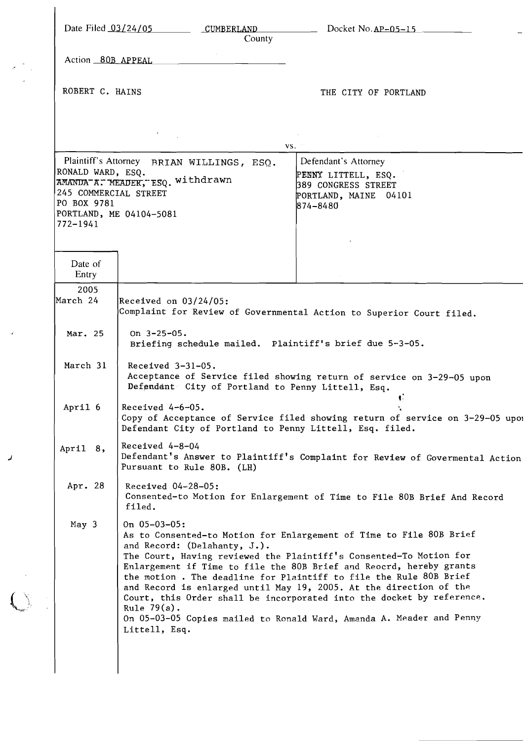|                                                                           | County                                                                                                   | Date Filed 03/24/05 CUMBERLAND Docket No. AP-05-15                                                                                                                                                                                                                                                                                                                                                                                                                                                           |
|---------------------------------------------------------------------------|----------------------------------------------------------------------------------------------------------|--------------------------------------------------------------------------------------------------------------------------------------------------------------------------------------------------------------------------------------------------------------------------------------------------------------------------------------------------------------------------------------------------------------------------------------------------------------------------------------------------------------|
| Action 80B APPEAL                                                         |                                                                                                          |                                                                                                                                                                                                                                                                                                                                                                                                                                                                                                              |
| ROBERT C. HAINS                                                           |                                                                                                          | THE CITY OF PORTLAND                                                                                                                                                                                                                                                                                                                                                                                                                                                                                         |
|                                                                           |                                                                                                          |                                                                                                                                                                                                                                                                                                                                                                                                                                                                                                              |
|                                                                           | $\sigma_{\rm{max}}=1$                                                                                    | VS.                                                                                                                                                                                                                                                                                                                                                                                                                                                                                                          |
| RONALD WARD, ESQ.<br>245 COMMERCIAL STREET<br>PO BOX 9781<br>$772 - 1941$ | Plaintiff's Attorney BRIAN WILLINGS, ESQ.<br>AMANDA A. MEADER, ESQ. Withdrawn<br>PORTLAND, ME 04104-5081 | Defendant's Attorney<br>PENNY LITTELL, ESQ.<br>389 CONGRESS STREET<br>PORTLAND, MAINE 04101<br>874-8480                                                                                                                                                                                                                                                                                                                                                                                                      |
| Date of<br>Entry                                                          |                                                                                                          |                                                                                                                                                                                                                                                                                                                                                                                                                                                                                                              |
| 2005<br>March 24                                                          | Received on $03/24/05$ :                                                                                 | Complaint for Review of Governmental Action to Superior Court filed.                                                                                                                                                                                                                                                                                                                                                                                                                                         |
| Mar. 25                                                                   | On $3 - 25 - 05$ .<br>Briefing schedule mailed. Plaintiff's brief due 5-3-05.                            |                                                                                                                                                                                                                                                                                                                                                                                                                                                                                                              |
| March 31                                                                  | Received $3-31-05$ .<br>Defendant City of Portland to Penny Littell, Esq.                                | Acceptance of Service filed showing return of service on 3-29-05 upon                                                                                                                                                                                                                                                                                                                                                                                                                                        |
| April 6                                                                   | Received $4-6-05$ .<br>Defendant City of Portland to Penny Littell, Esq. filed.                          | Copy of Acceptance of Service filed showing return of service on 3-29-05 upor                                                                                                                                                                                                                                                                                                                                                                                                                                |
| April 8,                                                                  | Received 4-8-04<br>Pursuant to Rule 80B. (LH)                                                            | Defendant's Answer to Plaintiff's Complaint for Review of Govermental Action                                                                                                                                                                                                                                                                                                                                                                                                                                 |
| Apr. 28                                                                   | Received 04-28-05:<br>filed.                                                                             | Consented-to Motion for Enlargement of Time to File 80B Brief And Record                                                                                                                                                                                                                                                                                                                                                                                                                                     |
| May $3$                                                                   | On $05-03-05$ :<br>and Record: (Delahanty, J.).<br>Rule $79(a)$ .<br>Littell, Esq.                       | As to Consented-to Motion for Enlargement of Time to File 80B Brief<br>The Court, Having reviewed the Plaintiff's Consented-To Motion for<br>Enlargement if Time to file the 80B Brief and Reocrd, hereby grants<br>the motion. The deadline for Plaintiff to file the Rule 80B Brief<br>and Record is enlarged until May 19, 2005. At the direction of the<br>Court, this Order shall be incorporated into the docket by reference.<br>On 05-03-05 Copies mailed to Ronald Ward, Amanda A. Meader and Penny |

 $\boldsymbol{z}$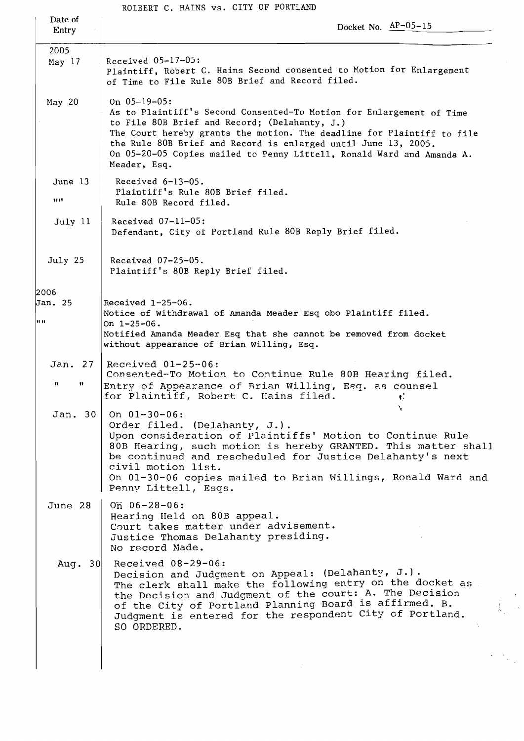ROIBERT C. HAINS vs. CITY OF PORTLAND

| Date of<br>Entry          | Docket No. $AP-05-15$                                                                                                                                                                                                                                                                                                                                                         |  |  |
|---------------------------|-------------------------------------------------------------------------------------------------------------------------------------------------------------------------------------------------------------------------------------------------------------------------------------------------------------------------------------------------------------------------------|--|--|
| 2005<br>May $17$          | Received 05-17-05:<br>Plaintiff, Robert C. Hains Second consented to Motion for Enlargement<br>of Time to File Rule 80B Brief and Record filed.                                                                                                                                                                                                                               |  |  |
| May $20$                  | On $05-19-05$ :<br>As to Plaintiff's Second Consented-To Motion for Enlargement of Time<br>to File 80B Brief and Record; (Delahanty, J.)<br>The Court hereby grants the motion. The deadline for Plaintiff to file<br>the Rule 80B Brief and Record is enlarged until June 13, 2005.<br>On 05-20-05 Copies mailed to Penny Littell, Ronald Ward and Amanda A.<br>Meader, Esq. |  |  |
| June 13<br>1111           | Received $6-13-05$ .<br>Plaintiff's Rule 80B Brief filed.<br>Rule 80B Record filed.                                                                                                                                                                                                                                                                                           |  |  |
| July 11                   | Received $07-11-05$ :<br>Defendant, City of Portland Rule 80B Reply Brief filed.                                                                                                                                                                                                                                                                                              |  |  |
| July 25                   | Received 07-25-05.<br>Plaintiff's 80B Reply Brief filed.                                                                                                                                                                                                                                                                                                                      |  |  |
| 2006<br>Jan. 25<br>98. BE | Received $1-25-06$ .<br>Notice of Withdrawal of Amanda Meader Esq obo Plaintiff filed.<br>On $1 - 25 - 06$ .<br>Notified Amanda Meader Esq that she cannot be removed from docket<br>without appearance of Brian Willing, Esq.                                                                                                                                                |  |  |
| Jan. 27  <br>n<br>Ħ.      | Received $01-25-06$ :<br>Consented-To Motion to Continue Rule 80B Hearing filed.<br>Entry of Appearance of Brian Willing, Esq. as counsel<br>for Plaintiff, Robert C. Hains filed.<br>V.                                                                                                                                                                                      |  |  |
| Jan. 30                   | On $01 - 30 - 06$ :<br>Order filed. (Delahanty, J.).<br>Upon consideration of Plaintiffs' Motion to Continue Rule<br>80B Hearing, such motion is hereby GRANTED. This matter shall<br>be continued and rescheduled for Justice Delahanty's next<br>civil motion list.<br>On 01-30-06 copies mailed to Brian Willings, Ronald Ward and<br>Penny Littell, Esqs.                 |  |  |
| June 28                   | On $06 - 28 - 06$ :<br>Hearing Held on 80B appeal.<br>Court takes matter under advisement.<br>Justice Thomas Delahanty presiding.<br>No record Made.                                                                                                                                                                                                                          |  |  |
| Aug. $30$                 | Received $08-29-06$ :<br>Decision and Judgment on Appeal: (Delahanty, J.).<br>The clerk shall make the following entry on the docket as<br>the Decision and Judgment of the court: A. The Decision<br>of the City of Portland Planning Board is affirmed. B.<br>Judgment is entered for the respondent City of Portland.<br>SO ORDERED.                                       |  |  |
|                           |                                                                                                                                                                                                                                                                                                                                                                               |  |  |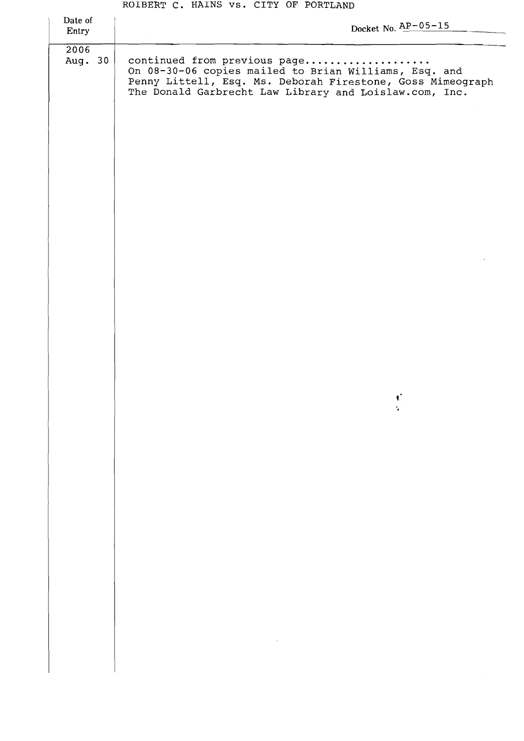#### **ROIBERT C. HAlNS vs. CITY OF PORTLAND**

| Date of<br>Entry | Docket No. $\frac{AP-05-15}{P}$                                                                                                                                                                               |
|------------------|---------------------------------------------------------------------------------------------------------------------------------------------------------------------------------------------------------------|
| 2006<br>Aug. 30  | continued from previous page<br>On 08-30-06 copies mailed to Brian Williams, Esq. and<br>Penny Littell, Esq. Ms. Deborah Firestone, Goss Mimeograph<br>The Donald Garbrecht Law Library and Loislaw.com, Inc. |
|                  |                                                                                                                                                                                                               |
|                  |                                                                                                                                                                                                               |
|                  |                                                                                                                                                                                                               |
|                  |                                                                                                                                                                                                               |
|                  |                                                                                                                                                                                                               |
|                  |                                                                                                                                                                                                               |
|                  | ¢                                                                                                                                                                                                             |
|                  |                                                                                                                                                                                                               |
|                  |                                                                                                                                                                                                               |
|                  |                                                                                                                                                                                                               |
|                  |                                                                                                                                                                                                               |
|                  |                                                                                                                                                                                                               |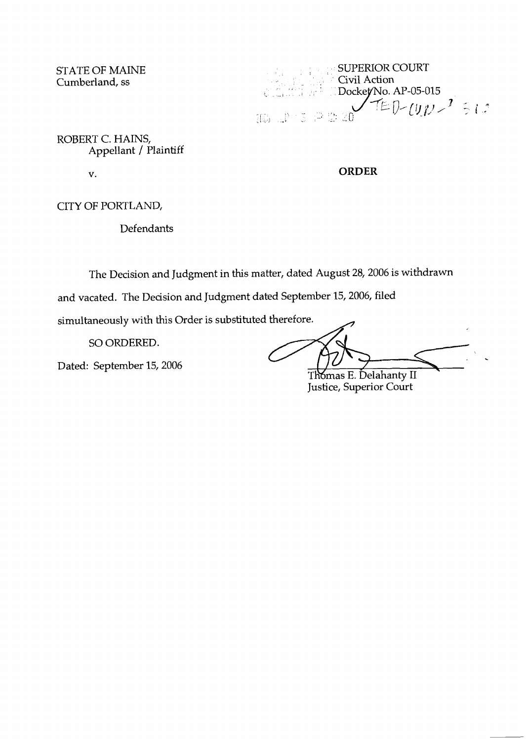STATE OF MAINE Cumberland, ss

SUPERIOR COURT Civil Action Dockey No. AP-05-015<br> $T E D - [J J J - 7 \div 1.2$  $\begin{array}{ll} 105 & \mathrm{d}^3 & \mathrm{d}^3 & \mathrm{d}^3 & \mathrm{d}^3 & \mathrm{d}^3 & \mathrm{d}^3 \\ 105 & \mathrm{d}^3 & \mathrm{d}^3 & \mathrm{d}^3 & \mathrm{d}^3 & \mathrm{d}^3 & \mathrm{d}^3 \end{array}$ 

ROBERT C. HAINS, Appellant / Plaintiff

 $V_{\bullet}$ 

**ORDER** 

CITY OF PORTLAND,.

Defendants

The Decision and Judgment in this matter, dated August 28,2006 is withdrawn

and vacated. The Decision and Judgment dated September 15, 2006, filed

simultaneously with this Order is substituted therefore.

SO ORDERED.

Dated: September 15,2006

Thomas E. Delahanty II Justice, Superior Court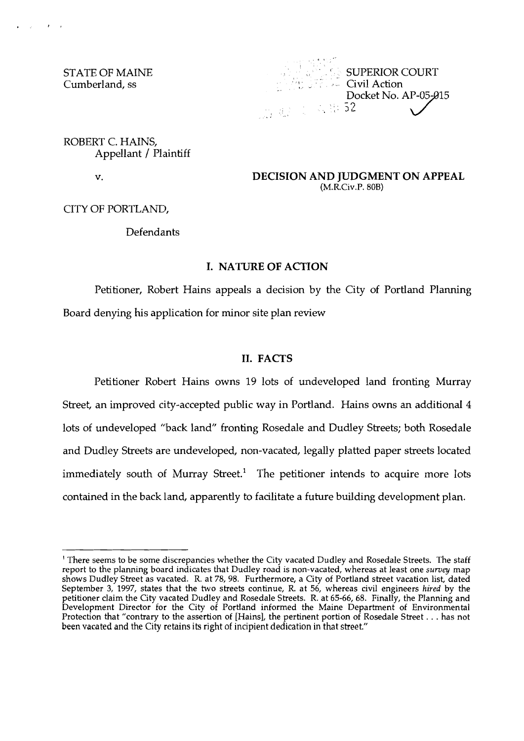STATE OF MAINE Cumberland, ss

 $\mathcal{A}_\text{eff}$  and  $\mathcal{A}_\text{eff}$  and



ROBERT C. HAINS, Appellant / Plaintiff

 $\mathbf{v}$ .

**DECISION AND JUDGMENT ON APPEAL**  (M.R.Civ.P. 80B)

CITY OF PORTLAND,

## Defendants

# **I. NATURE OF ACTION**

Petitioner, Robert Hains appeals a decision by the City of Portland Planning Board denying his application for minor site plan review

## **11. FACTS**

Petitioner Robert Hains owns 19 lots of undeveloped land fronting Murray Street, an improved city-accepted public way in Portland. Hains owns an additional 4 lots of undeveloped "back land" fronting Rosedale and Dudley Streets; both Rosedale and Dudley Streets are undeveloped, non-vacated, legally platted paper streets located immediately south of Murray Street.<sup>1</sup> The petitioner intends to acquire more lots contained in the back land, apparently to facilitate a future building development plan.

<sup>&#</sup>x27; There seems to be some discrepancies whether the City vacated Dudley and Rosedale Streets. The staff report to the planning board indicates that Dudley road is non-vacated, whereas at least one s*urvey* map shows Dudley Street as vacated. R. at 78,98. Furthermore, a City of Portland street vacation list, dated September **3,** 1997, states that the two streets continue, R, at 56, whereas civil engineers **hired** by the petitioner claim the City vacated Dudley and Rosedale Streets. R. at 65-66, 68. Finally, the Planning and Development Director for the City of Portland informed the Maine Department of Environmental Protection that "contrary to the assertion of [Hains], the pertinent portion of Rosedale Street. . . has not been vacated and the City retains its right of incipient dedication in that street."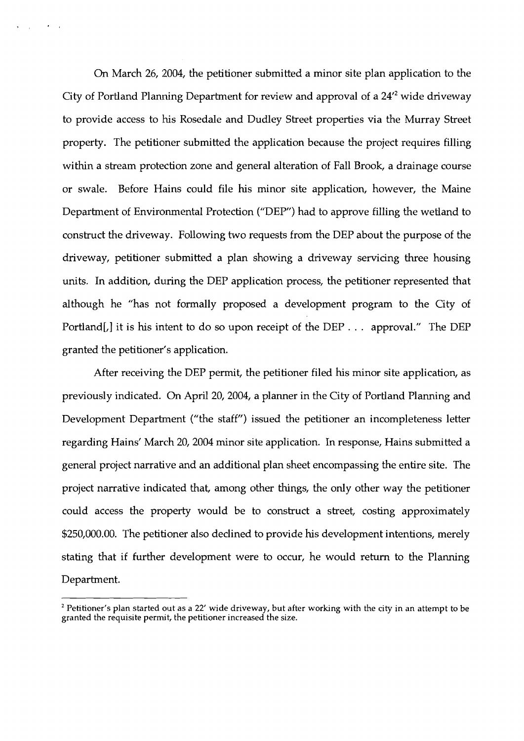On March 26, 2004, the petitioner submitted a minor site plan application to the City of Portland Planning Department for review and approval of a  $24^2$  wide driveway to provide access to his Rosedale and Dudley Street properties via the Murray Street property. The petitioner submitted the application because the project requires filling within a stream protection zone and general alteration of Fall Brook, a drainage course or swale. Before Hains could file his minor site application, however, the Maine Department of Environmental Protection ("DEP") had to approve filling the wetland to construct the driveway. Following two requests from the DEP about the purpose of the driveway, petitioner submitted a plan showing a driveway servicing three housing units. In addition, during the DEP application process, the petitioner represented that although he "has not formally proposed a development program to the City of Portland[,] it is his intent to do so upon receipt of the DEP  $\ldots$  approval." The DEP granted the petitioner's application.

 $\mathbf{A}=\mathbf{A}$ 

 $\sim 10^{-10}$ 

After receiving the DEP permit, the petitioner filed his minor site application, as previously indicated. On April 20,2004, a planner in the City of Portland Planning and Development Department ("the staff") issued the petitioner an incompleteness letter regarding Hains' March 20,2004 minor site application. In response, Hains submitted a general project narrative and an additional plan sheet encompassing the entire site. The project narrative indicated that, among other things, the only other way the petitioner could access the property would be to construct a street, costing approximately \$250,000.00. The petitioner also declined to provide his development intentions, merely stating that if further development were to occur, he would return to the Planning Department.

Petitioner's plan started out as a 22' wide driveway, but after working with the city in an attempt to be granted the requisite permit, the petitioner increased the size.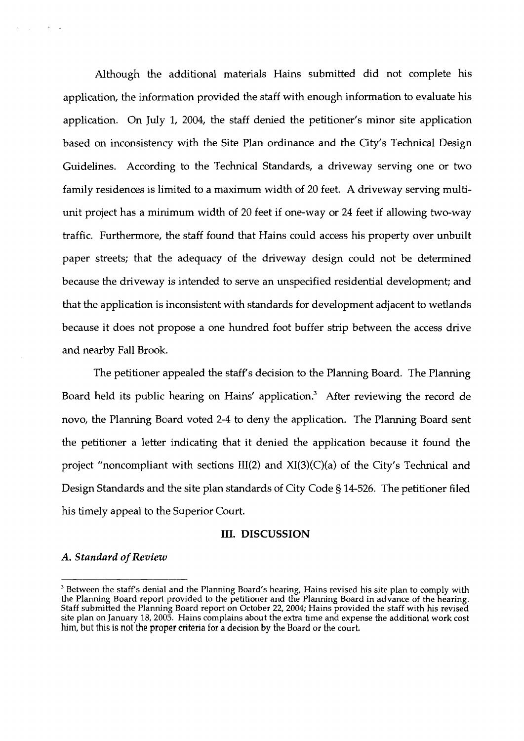Although the additional materials Hains submitted did not complete his application, the information provided the staff with enough information to evaluate his application. On July 1, 2004, the staff denied the petitioner's minor site application based on inconsistency with the Site Plan ordinance and the City's Technical Design Guidelines. According to the Technical Standards, a driveway serving one or two family residences is limited to a maximum width of 20 feet. **A** driveway serving multiunit project has a minimum width of 20 feet if one-way or 24 feet if allowing two-way traffic. Furthermore, the staff found that Hains could access his property over unbuilt paper streets; that the adequacy of the driveway design could not be determined because the driveway is intended to serve an unspecified residential development; and that the application is inconsistent with standards for development adjacent to wetlands because it does not propose a one hundred foot buffer strip between the access drive and nearby Fall Brook.

The petitioner appealed the staff's decision to the Planning Board. The Planning Board held its public hearing on Hains' application.<sup>3</sup> After reviewing the record de novo, the Planning Board voted 2-4 to deny the application. The Planning Board sent the petitioner a letter indicating that it denied the application because it found the project "noncompliant with sections III(2) and  $XI(3)(C)(a)$  of the City's Technical and Design Standards and the site plan standards of City Code *5* 14-526. The petitioner filed his timely appeal to the Superior Court.

#### 111. DISCUSSION

## *A. Standard of* **Review**

Between the staff's denial and the Planning Board's hearing, Hains revised his site plan to comply with the Planning Board report provided to the petitioner and the Planning Board in advance of the hearing. Staff submitted the Planning Board report on October 22,2004; Hains provided the staff with his revised site plan on January 18, 2005. Hains complains about the extra time and expense the additional work cost **hm,** but this is not the proper criteria for a decision by the Board or the court.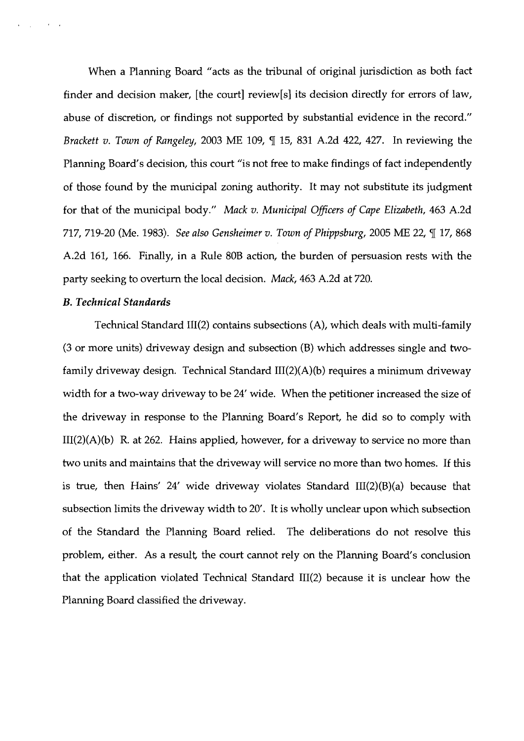When a Planning Board "acts as the tribunal of original jurisdiction as both fact finder and decision nnaker, [the court] review[s] its decision directly for errors of law, abuse of discretion, or findings not supported by substantial evidence in the record." Brackett v. Town of Rangeley, 2003 ME 109, ¶ 15, 831 A.2d 422, 427. In reviewing the Planning Board's decision, this court "is not free to make findings of fact independently of those found by the municipal zoning authority. It may not substitute its judgment for that of the municipal body." Mack v. Municipal Officers of Cape Elizabeth, 463 A.2d 717, 719-20 (Me. 1983). See also Gensheimer v. Town of Phippsburg, 2005 ME 22,  $\P$  17, 868 A.2d 161, 166. Finally, in a Rule 80B action, the burden of persuasion rests with the party seeking to overturn the local decision. Mack, 463 A.2d at 720.

## B. *Technical Standards*

 $\sim$ 

Technical Standard III(2) contains subsections (A), which deals with multi-family (3 or more units) driveway design and subsection (B) which addresses single and twofamily driveway design. Technical Standard  $III(2)(A)(b)$  requires a minimum driveway width for a two-way driveway to be 24' wide. When the petitioner increased the size of the driveway in response to the Planning Board's Report, he did so to comply with  $III(2)(A)(b)$  R. at 262. Hains applied, however, for a driveway to service no more than two units and maintains that the driveway will service no more than two homes. If this is true, then Hains' 24' wide driveway violates Standard  $III(2)(B)(a)$  because that subsection limits the driveway width to 20'. It is wholly unclear upon which subsection of the Standard the Planning Board relied. The deliberations do not resolve this problem, either. As a result, the court cannot rely on the Planning Board's conclusion that the application violated Technical Standard  $III(2)$  because it is unclear how the Planning Board classified the driveway.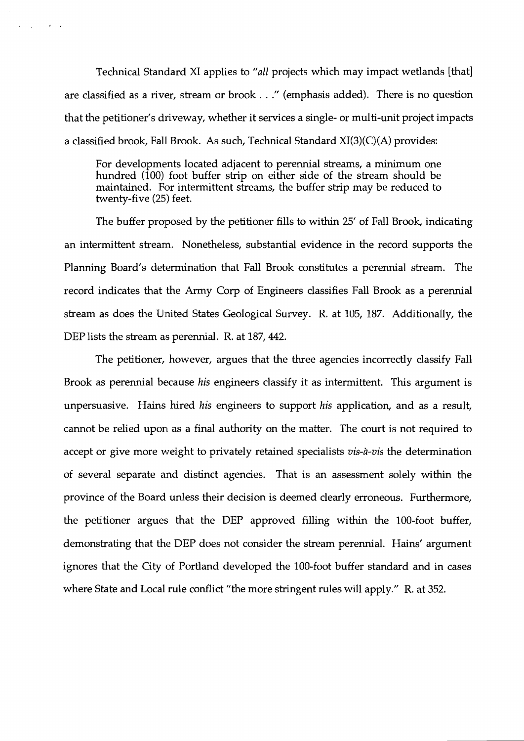Technical Standard XI applies to "all projects which may impact wetlands [that] are classified as a river, stream or brook . . ." (emphasis added). There is no question that the petitioner's driveway, whether it services a single- or multi-unit project impacts a classified brook, Fall Brook. As such, Technical Standard XI(3)(C)(A) provides:

 $\mathbf{r} = \mathbf{r}_1 \mathbf{r}_2$ 

 $\mathcal{A}=\mathcal{A}$ 

For developments located adjacent to perennial streams, a minimum one hundred (100) foot buffer strip on either side of the stream should be maintained. For intermittent streams, the buffer strip may be reduced to twenty-five (25) feet.

The buffer proposed by the petitioner fills to within 25' of Fall Brook, indicating an intermittent stream. Nonetheless, substantial evidence in the record supports the Planning Board's determination that Fall Brook constitutes a perennial stream. The record indicates that the Army Corp of Engineers classifies Fall Brook as a perennial stream as does the United States Geological Survey. R. at 105, 187. Additionally, the DEP lists the stream as perennial. R. at 187, 442.

The petitioner, however, argues that the three agencies incorrectly classify Fall Brook as perennial because *his* engineers classify it as intermittent. This argument is unpersuasive. Hains hired *his* engineers to support *his* application, and as a result, cannot be relied upon as a final authority on the matter. The court is not required to accept or give more weight to privately retained specialists *vis-a-vis* the determination of several separate and distinct agencies. That is an assessment solely within the province of the Board unless their decision is deemed clearly erroneous. Furthermore, the petitioner argues that the DEP approved filling within the 100-foot buffer, demonstrating that the DEP does not consider the stream perennial. Hains' argument ignores that the City of Portland developed the 100-foot buffer standard and in cases where State and Local rule conflict "the more stringent rules will apply." R. at 352.